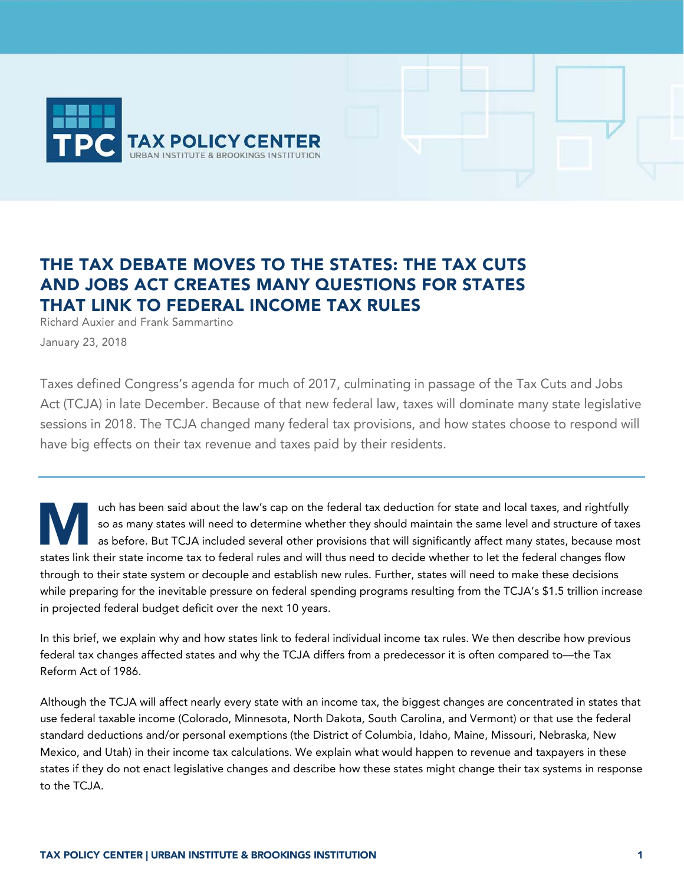

# THE TAX DEBATE MOVES TO THE STATES: THE TAX CUTS AND JOBS ACT CREATES MANY QUESTIONS FOR STATES THAT LINK TO FEDERAL INCOME TAX RULES

Richard Auxier and Frank Sammartino January 23, 2018

Taxes defined Congress's agenda for much of 2017, culminating in passage of the Tax Cuts and Jobs Act (TCJA) in late December. Because of that new federal law, taxes will dominate many state legislative sessions in 2018. The TCJA changed many federal tax provisions, and how states choose to respond will have big effects on their tax revenue and taxes paid by their residents.

uch has been said about the law's cap on the federal tax deduction for state and local taxes, and rightfully so as many states will need to determine whether they should maintain the same level and structure of taxes as before. But TCJA included several other provisions that will significantly affect many states, because most states link their state income tax to federal rules and will thus need to decide whether to let the federal changes flow through to their state system or decouple and establish new rules. Further, states will need to make these decisions while preparing for the inevitable pressure on federal spending programs resulting from the TCJA's \$1.5 trillion increase in projected federal budget deficit over the next 10 years. **M** 

In this brief, we explain why and how states link to federal individual income tax rules. We then describe how previous federal tax changes affected states and why the TCJA differs from a predecessor it is often compared to—the Tax Reform Act of 1986.

Although the TCJA will affect nearly every state with an income tax, the biggest changes are concentrated in states that use federal taxable income (Colorado, Minnesota, North Dakota, South Carolina, and Vermont) or that use the federal standard deductions and/or personal exemptions (the District of Columbia, Idaho, Maine, Missouri, Nebraska, New Mexico, and Utah) in their income tax calculations. We explain what would happen to revenue and taxpayers in these states if they do not enact legislative changes and describe how these states might change their tax systems in response to the TCJA.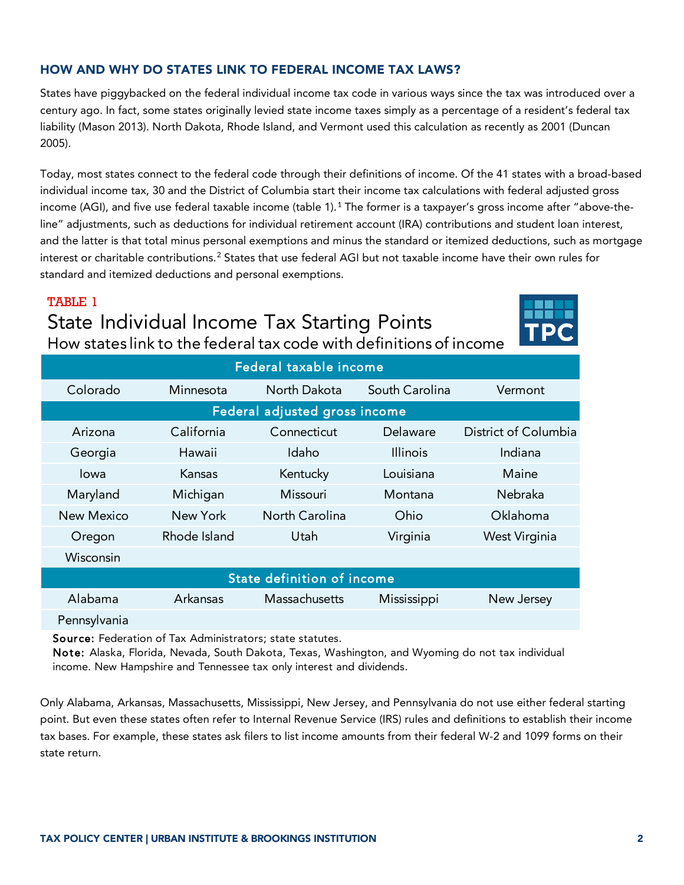# HOW AND WHY DO STATES LINK TO FEDERAL INCOME TAX LAWS?

States have piggybacked on the federal individual income tax code in various ways since the tax was introduced over a century ago. In fact, some states originally levied state income taxes simply as a percentage of a resident's federal tax liability (Mason 2013). North Dakota, Rhode Island, and Vermont used this calculation as recently as 2001 (Duncan 2005).

Today, most states connect to the federal code through their definitions of income. Of the 41 states with a broad-based individual income tax, 30 and the District of Columbia start their income tax calculations with federal adjusted gross income (AGI), and five use federal taxable income (table  $1$ ).<sup>1</sup> The former is a taxpayer's gross income after "above-theline" adjustments, such as deductions for individual retirement account (IRA) contributions and student loan interest, and the latter is that total minus personal exemptions and minus the standard or itemized deductions, such as mortgage interest or charitable contributions.<sup>[2](#page-12-1)</sup> States that use federal AGI but not taxable income have their own rules for standard and itemized deductions and personal exemptions.

# TABLE 1

# State Individual Income Tax Starting Points

How states link to the federal tax code with definitions of income

| Federal taxable income            |              |                |                 |                      |
|-----------------------------------|--------------|----------------|-----------------|----------------------|
| Colorado                          | Minnesota    | North Dakota   | South Carolina  | Vermont              |
| Federal adjusted gross income     |              |                |                 |                      |
| Arizona                           | California   | Connecticut    | Delaware        | District of Columbia |
| Georgia                           | Hawaii       | Idaho          | <b>Illinois</b> | Indiana              |
| lowa                              | Kansas       | Kentucky       | Louisiana       | Maine                |
| Maryland                          | Michigan     | Missouri       | Montana         | Nebraka              |
| New Mexico                        | New York     | North Carolina | Ohio            | Oklahoma             |
| Oregon                            | Rhode Island | Utah           | Virginia        | West Virginia        |
| Wisconsin                         |              |                |                 |                      |
| <b>State definition of income</b> |              |                |                 |                      |
| Alabama                           | Arkansas     | Massachusetts  | Mississippi     | New Jersey           |
| Pennsylvania                      |              |                |                 |                      |

Source: Federation of Tax Administrators; state statutes.

Note: Alaska, Florida, Nevada, South Dakota, Texas, Washington, and Wyoming do not tax individual income. New Hampshire and Tennessee tax only interest and dividends.

Only Alabama, Arkansas, Massachusetts, Mississippi, New Jersey, and Pennsylvania do not use either federal starting point. But even these states often refer to Internal Revenue Service (IRS) rules and definitions to establish their income tax bases. For example, these states ask filers to list income amounts from their federal W-2 and 1099 forms on their state return.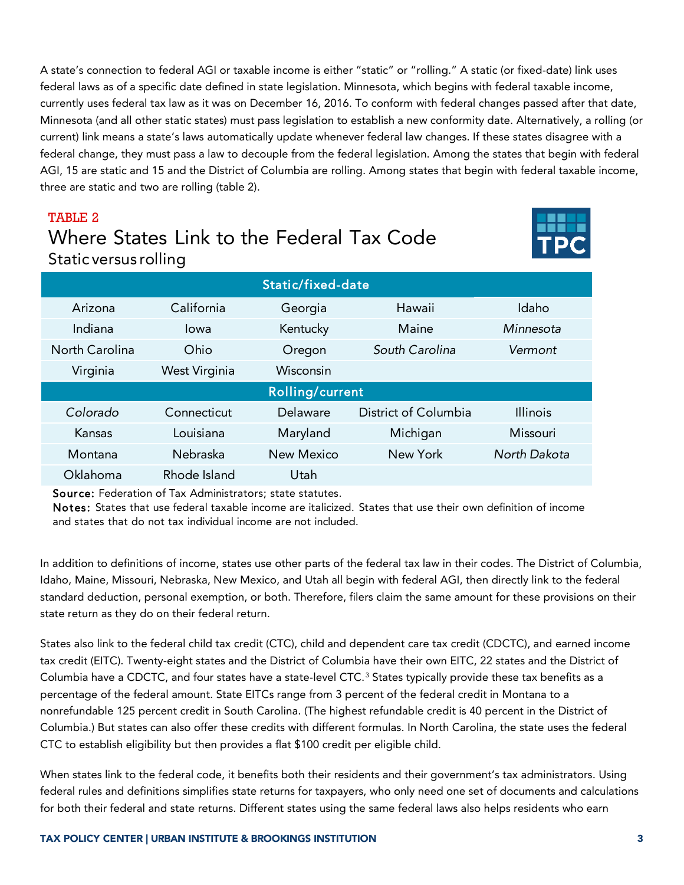A state's connection to federal AGI or taxable income is either "static" or "rolling." A static (or fixed-date) link uses federal laws as of a specific date defined in state legislation. Minnesota, which begins with federal taxable income, currently uses federal tax law as it was on December 16, 2016. To conform with federal changes passed after that date, Minnesota (and all other static states) must pass legislation to establish a new conformity date. Alternatively, a rolling (or current) link means a state's laws automatically update whenever federal law changes. If these states disagree with a federal change, they must pass a law to decouple from the federal legislation. Among the states that begin with federal AGI, 15 are static and 15 and the District of Columbia are rolling. Among states that begin with federal taxable income, three are static and two are rolling (table 2).

# TABLE 2 Where States Link to the Federal Tax Code Static versus rolling



| Static/fixed-date |               |            |                      |                 |  |
|-------------------|---------------|------------|----------------------|-----------------|--|
| Arizona           | California    | Georgia    | Hawaii               | Idaho           |  |
| Indiana           | lowa          | Kentucky   | Maine                | Minnesota       |  |
| North Carolina    | Ohio          | Oregon     | South Carolina       | Vermont         |  |
| Virginia          | West Virginia | Wisconsin  |                      |                 |  |
| Rolling/current   |               |            |                      |                 |  |
| Colorado          | Connecticut   | Delaware   | District of Columbia | <b>Illinois</b> |  |
| Kansas            | Louisiana     | Maryland   | Michigan             | Missouri        |  |
| Montana           | Nebraska      | New Mexico | New York             | North Dakota    |  |
| Oklahoma          | Rhode Island  | Utah       |                      |                 |  |

Source: Federation of Tax Administrators; state statutes.

Notes: States that use federal taxable income are italicized. States that use their own definition of income and states that do not tax individual income are not included.

In addition to definitions of income, states use other parts of the federal tax law in their codes. The District of Columbia, Idaho, Maine, Missouri, Nebraska, New Mexico, and Utah all begin with federal AGI, then directly link to the federal standard deduction, personal exemption, or both. Therefore, filers claim the same amount for these provisions on their state return as they do on their federal return.

States also link to the federal child tax credit (CTC), child and dependent care tax credit (CDCTC), and earned income tax credit (EITC). Twenty-eight states and the District of Columbia have their own EITC, 22 states and the District of Columbia have a CDCTC, and four states have a state-level CTC.<sup>[3](#page-12-2)</sup> States typically provide these tax benefits as a percentage of the federal amount. State EITCs range from 3 percent of the federal credit in Montana to a nonrefundable 125 percent credit in South Carolina. (The highest refundable credit is 40 percent in the District of Columbia.) But states can also offer these credits with different formulas. In North Carolina, the state uses the federal CTC to establish eligibility but then provides a flat \$100 credit per eligible child.

When states link to the federal code, it benefits both their residents and their government's tax administrators. Using federal rules and definitions simplifies state returns for taxpayers, who only need one set of documents and calculations for both their federal and state returns. Different states using the same federal laws also helps residents who earn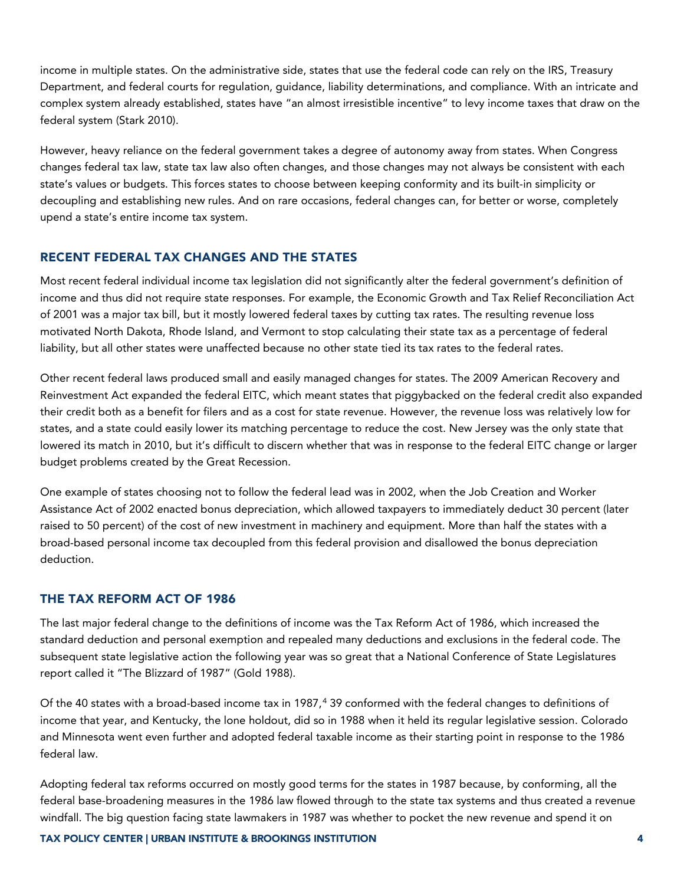income in multiple states. On the administrative side, states that use the federal code can rely on the IRS, Treasury Department, and federal courts for regulation, guidance, liability determinations, and compliance. With an intricate and complex system already established, states have "an almost irresistible incentive" to levy income taxes that draw on the federal system (Stark 2010).

However, heavy reliance on the federal government takes a degree of autonomy away from states. When Congress changes federal tax law, state tax law also often changes, and those changes may not always be consistent with each state's values or budgets. This forces states to choose between keeping conformity and its built-in simplicity or decoupling and establishing new rules. And on rare occasions, federal changes can, for better or worse, completely upend a state's entire income tax system.

#### RECENT FEDERAL TAX CHANGES AND THE STATES

Most recent federal individual income tax legislation did not significantly alter the federal government's definition of income and thus did not require state responses. For example, the Economic Growth and Tax Relief Reconciliation Act of 2001 was a major tax bill, but it mostly lowered federal taxes by cutting tax rates. The resulting revenue loss motivated North Dakota, Rhode Island, and Vermont to stop calculating their state tax as a percentage of federal liability, but all other states were unaffected because no other state tied its tax rates to the federal rates.

Other recent federal laws produced small and easily managed changes for states. The 2009 American Recovery and Reinvestment Act expanded the federal EITC, which meant states that piggybacked on the federal credit also expanded their credit both as a benefit for filers and as a cost for state revenue. However, the revenue loss was relatively low for states, and a state could easily lower its matching percentage to reduce the cost. New Jersey was the only state that lowered its match in 2010, but it's difficult to discern whether that was in response to the federal EITC change or larger budget problems created by the Great Recession.

One example of states choosing not to follow the federal lead was in 2002, when the Job Creation and Worker Assistance Act of 2002 enacted bonus depreciation, which allowed taxpayers to immediately deduct 30 percent (later raised to 50 percent) of the cost of new investment in machinery and equipment. More than half the states with a broad-based personal income tax decoupled from this federal provision and disallowed the bonus depreciation deduction.

#### THE TAX REFORM ACT OF 1986

The last major federal change to the definitions of income was the Tax Reform Act of 1986, which increased the standard deduction and personal exemption and repealed many deductions and exclusions in the federal code. The subsequent state legislative action the following year was so great that a National Conference of State Legislatures report called it "The Blizzard of 1987" (Gold 1988).

Of the [4](#page-12-3)0 states with a broad-based income tax in 1987,<sup>4</sup> 39 conformed with the federal changes to definitions of income that year, and Kentucky, the lone holdout, did so in 1988 when it held its regular legislative session. Colorado and Minnesota went even further and adopted federal taxable income as their starting point in response to the 1986 federal law.

Adopting federal tax reforms occurred on mostly good terms for the states in 1987 because, by conforming, all the federal base-broadening measures in the 1986 law flowed through to the state tax systems and thus created a revenue windfall. The big question facing state lawmakers in 1987 was whether to pocket the new revenue and spend it on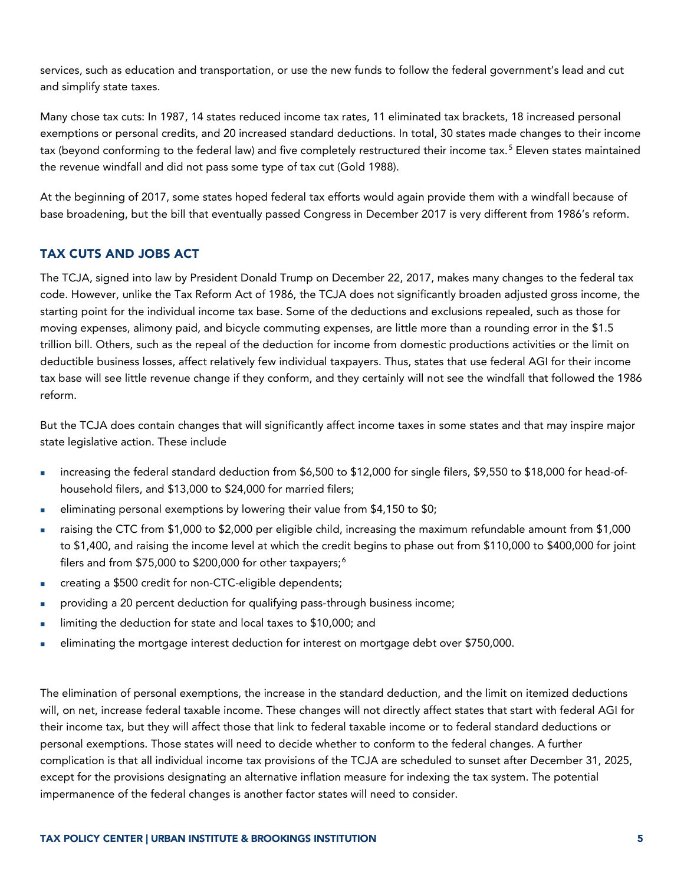services, such as education and transportation, or use the new funds to follow the federal government's lead and cut and simplify state taxes.

Many chose tax cuts: In 1987, 14 states reduced income tax rates, 11 eliminated tax brackets, 18 increased personal exemptions or personal credits, and 20 increased standard deductions. In total, 30 states made changes to their income tax (beyond conforming to the federal law) and five completely restructured their income tax.<sup>[5](#page-12-4)</sup> Eleven states maintained the revenue windfall and did not pass some type of tax cut (Gold 1988).

At the beginning of 2017, some states hoped federal tax efforts would again provide them with a windfall because of base broadening, but the bill that eventually passed Congress in December 2017 is very different from 1986's reform.

## TAX CUTS AND JOBS ACT

The TCJA, signed into law by President Donald Trump on December 22, 2017, makes many changes to the federal tax code. However, unlike the Tax Reform Act of 1986, the TCJA does not significantly broaden adjusted gross income, the starting point for the individual income tax base. Some of the deductions and exclusions repealed, such as those for moving expenses, alimony paid, and bicycle commuting expenses, are little more than a rounding error in the \$1.5 trillion bill. Others, such as the repeal of the deduction for income from domestic productions activities or the limit on deductible business losses, affect relatively few individual taxpayers. Thus, states that use federal AGI for their income tax base will see little revenue change if they conform, and they certainly will not see the windfall that followed the 1986 reform.

But the TCJA does contain changes that will significantly affect income taxes in some states and that may inspire major state legislative action. These include

- increasing the federal standard deduction from \$6,500 to \$12,000 for single filers, \$9,550 to \$18,000 for head-ofhousehold filers, and \$13,000 to \$24,000 for married filers;
- eliminating personal exemptions by lowering their value from \$4,150 to \$0;
- raising the CTC from \$1,000 to \$2,000 per eligible child, increasing the maximum refundable amount from \$1,000 to \$1,400, and raising the income level at which the credit begins to phase out from \$110,000 to \$400,000 for joint filers and from \$75,000 to \$200,000 for other taxpayers;<sup>[6](#page-12-5)</sup>
- creating a \$500 credit for non-CTC-eligible dependents;
- providing a 20 percent deduction for qualifying pass-through business income;
- limiting the deduction for state and local taxes to \$10,000; and
- eliminating the mortgage interest deduction for interest on mortgage debt over \$750,000.

The elimination of personal exemptions, the increase in the standard deduction, and the limit on itemized deductions will, on net, increase federal taxable income. These changes will not directly affect states that start with federal AGI for their income tax, but they will affect those that link to federal taxable income or to federal standard deductions or personal exemptions. Those states will need to decide whether to conform to the federal changes. A further complication is that all individual income tax provisions of the TCJA are scheduled to sunset after December 31, 2025, except for the provisions designating an alternative inflation measure for indexing the tax system. The potential impermanence of the federal changes is another factor states will need to consider.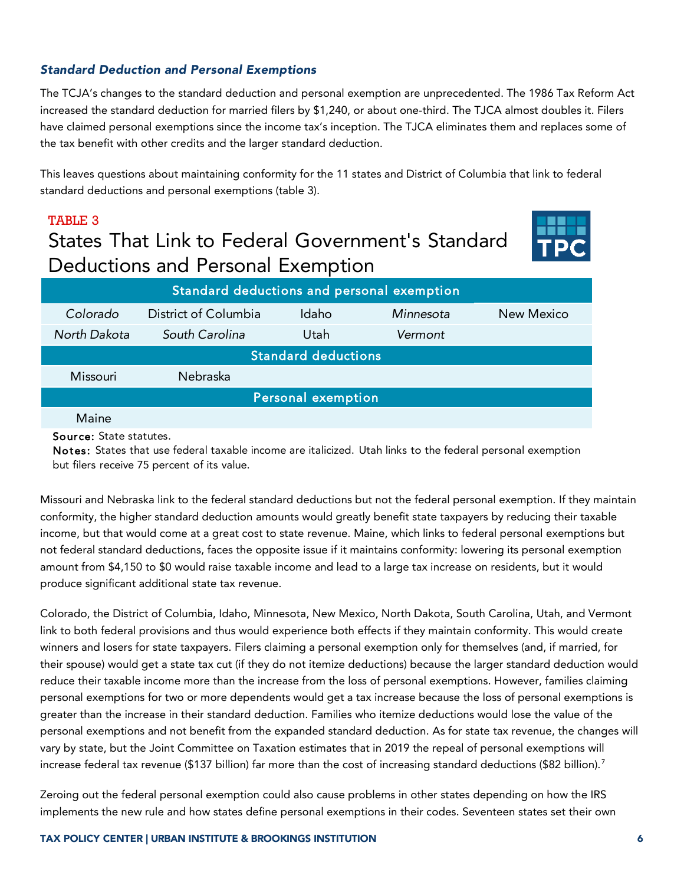### *Standard Deduction and Personal Exemptions*

The TCJA's changes to the standard deduction and personal exemption are unprecedented. The 1986 Tax Reform Act increased the standard deduction for married filers by \$1,240, or about one-third. The TJCA almost doubles it. Filers have claimed personal exemptions since the income tax's inception. The TJCA eliminates them and replaces some of the tax benefit with other credits and the larger standard deduction.

This leaves questions about maintaining conformity for the 11 states and District of Columbia that link to federal standard deductions and personal exemptions (table 3).

# TABLE 3 States That Link to Federal Government's Standard Deductions and Personal Exemption



| Standard deductions and personal exemption |                      |       |           |            |  |  |
|--------------------------------------------|----------------------|-------|-----------|------------|--|--|
| Colorado                                   | District of Columbia | Idaho | Minnesota | New Mexico |  |  |
| North Dakota                               | South Carolina       | Utah  | Vermont   |            |  |  |
| <b>Standard deductions</b>                 |                      |       |           |            |  |  |
| <b>Missouri</b>                            | Nebraska             |       |           |            |  |  |
| Personal exemption                         |                      |       |           |            |  |  |
| Maine                                      |                      |       |           |            |  |  |

Source: State statutes.

Notes: States that use federal taxable income are italicized. Utah links to the federal personal exemption but filers receive 75 percent of its value.

Missouri and Nebraska link to the federal standard deductions but not the federal personal exemption. If they maintain conformity, the higher standard deduction amounts would greatly benefit state taxpayers by reducing their taxable income, but that would come at a great cost to state revenue. Maine, which links to federal personal exemptions but not federal standard deductions, faces the opposite issue if it maintains conformity: lowering its personal exemption amount from \$4,150 to \$0 would raise taxable income and lead to a large tax increase on residents, but it would produce significant additional state tax revenue.

Colorado, the District of Columbia, Idaho, Minnesota, New Mexico, North Dakota, South Carolina, Utah, and Vermont link to both federal provisions and thus would experience both effects if they maintain conformity. This would create winners and losers for state taxpayers. Filers claiming a personal exemption only for themselves (and, if married, for their spouse) would get a state tax cut (if they do not itemize deductions) because the larger standard deduction would reduce their taxable income more than the increase from the loss of personal exemptions. However, families claiming personal exemptions for two or more dependents would get a tax increase because the loss of personal exemptions is greater than the increase in their standard deduction. Families who itemize deductions would lose the value of the personal exemptions and not benefit from the expanded standard deduction. As for state tax revenue, the changes will vary by state, but the Joint Committee on Taxation estimates that in 2019 the repeal of personal exemptions will increase federal tax revenue (\$13[7](#page-12-6) billion) far more than the cost of increasing standard deductions (\$82 billion).<sup>7</sup>

Zeroing out the federal personal exemption could also cause problems in other states depending on how the IRS implements the new rule and how states define personal exemptions in their codes. Seventeen states set their own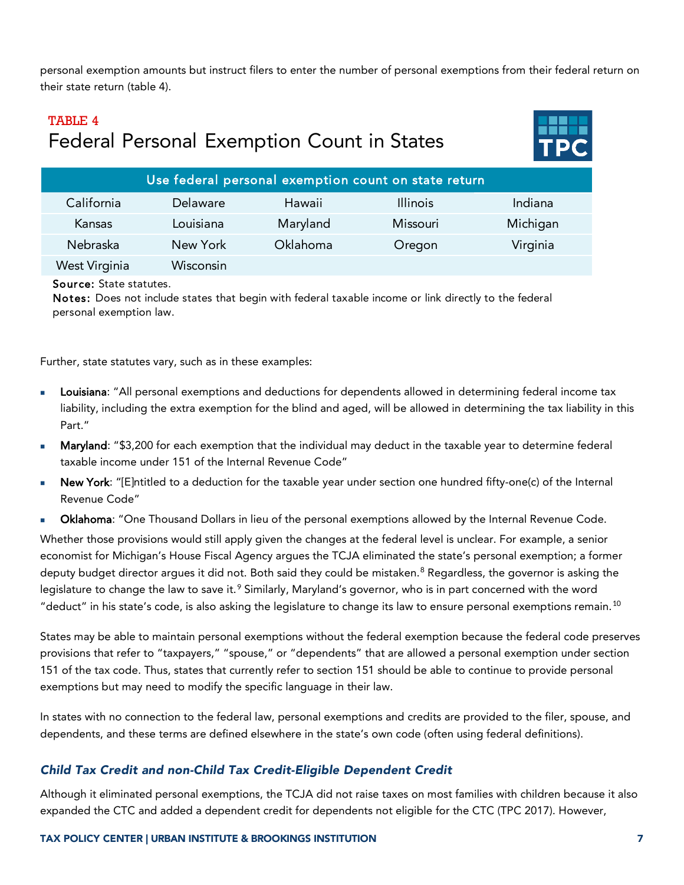personal exemption amounts but instruct filers to enter the number of personal exemptions from their federal return on their state return (table 4).

# TABLE 4 Federal Personal Exemption Count in States



| Use federal personal exemption count on state return |           |          |                 |          |
|------------------------------------------------------|-----------|----------|-----------------|----------|
| California                                           | Delaware  | Hawaii   | <b>Illinois</b> | Indiana  |
| Kansas                                               | Louisiana | Maryland | Missouri        | Michigan |
| Nebraska                                             | New York  | Oklahoma | Oregon          | Virginia |
| West Virginia                                        | Wisconsin |          |                 |          |

#### Source: State statutes.

Notes: Does not include states that begin with federal taxable income or link directly to the federal personal exemption law.

Further, state statutes vary, such as in these examples:

- Louisiana: "All personal exemptions and deductions for dependents allowed in determining federal income tax liability, including the extra exemption for the blind and aged, will be allowed in determining the tax liability in this Part."
- Maryland: "\$3,200 for each exemption that the individual may deduct in the taxable year to determine federal taxable income under 151 of the Internal Revenue Code"
- New York: "[E]ntitled to a deduction for the taxable year under section one hundred fifty-one(c) of the Internal Revenue Code"
- Oklahoma: "One Thousand Dollars in lieu of the personal exemptions allowed by the Internal Revenue Code.

Whether those provisions would still apply given the changes at the federal level is unclear. For example, a senior economist for Michigan's House Fiscal Agency argues the TCJA eliminated the state's personal exemption; a former deputy budget director argues it did not. Both said they could be mistaken.<sup>[8](#page-12-7)</sup> Regardless, the governor is asking the legislature to change the law to save it.<sup>[9](#page-12-8)</sup> Similarly, Maryland's governor, who is in part concerned with the word "deduct" in his state's code, is also asking the legislature to change its law to ensure personal exemptions remain.<sup>[10](#page-12-9)</sup>

States may be able to maintain personal exemptions without the federal exemption because the federal code preserves provisions that refer to "taxpayers," "spouse," or "dependents" that are allowed a personal exemption under section 151 of the tax code. Thus, states that currently refer to section 151 should be able to continue to provide personal exemptions but may need to modify the specific language in their law.

In states with no connection to the federal law, personal exemptions and credits are provided to the filer, spouse, and dependents, and these terms are defined elsewhere in the state's own code (often using federal definitions).

### *Child Tax Credit and non-Child Tax Credit-Eligible Dependent Credit*

Although it eliminated personal exemptions, the TCJA did not raise taxes on most families with children because it also expanded the CTC and added a dependent credit for dependents not eligible for the CTC (TPC 2017). However,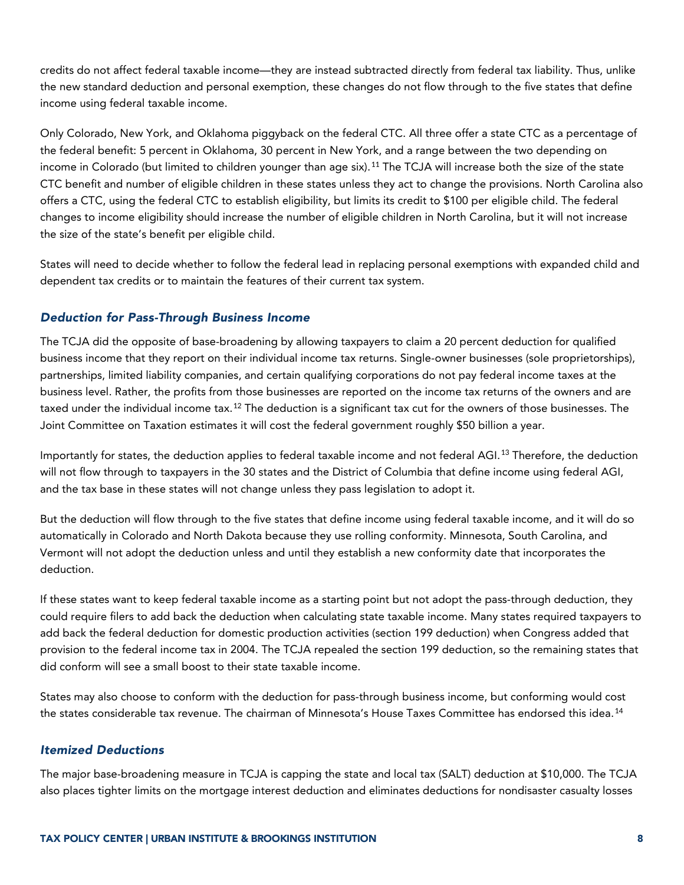credits do not affect federal taxable income—they are instead subtracted directly from federal tax liability. Thus, unlike the new standard deduction and personal exemption, these changes do not flow through to the five states that define income using federal taxable income.

Only Colorado, New York, and Oklahoma piggyback on the federal CTC. All three offer a state CTC as a percentage of the federal benefit: 5 percent in Oklahoma, 30 percent in New York, and a range between the two depending on income in Colorado (but limited to children younger than age six).<sup>[11](#page-12-10)</sup> The TCJA will increase both the size of the state CTC benefit and number of eligible children in these states unless they act to change the provisions. North Carolina also offers a CTC, using the federal CTC to establish eligibility, but limits its credit to \$100 per eligible child. The federal changes to income eligibility should increase the number of eligible children in North Carolina, but it will not increase the size of the state's benefit per eligible child.

States will need to decide whether to follow the federal lead in replacing personal exemptions with expanded child and dependent tax credits or to maintain the features of their current tax system.

### *Deduction for Pass-Through Business Income*

The TCJA did the opposite of base-broadening by allowing taxpayers to claim a 20 percent deduction for qualified business income that they report on their individual income tax returns. Single-owner businesses (sole proprietorships), partnerships, limited liability companies, and certain qualifying corporations do not pay federal income taxes at the business level. Rather, the profits from those businesses are reported on the income tax returns of the owners and are taxed under the individual income tax.<sup>[12](#page-12-11)</sup> The deduction is a significant tax cut for the owners of those businesses. The Joint Committee on Taxation estimates it will cost the federal government roughly \$50 billion a year.

Importantly for states, the deduction applies to federal taxable income and not federal AGI.<sup>[13](#page-12-12)</sup> Therefore, the deduction will not flow through to taxpayers in the 30 states and the District of Columbia that define income using federal AGI, and the tax base in these states will not change unless they pass legislation to adopt it.

But the deduction will flow through to the five states that define income using federal taxable income, and it will do so automatically in Colorado and North Dakota because they use rolling conformity. Minnesota, South Carolina, and Vermont will not adopt the deduction unless and until they establish a new conformity date that incorporates the deduction.

If these states want to keep federal taxable income as a starting point but not adopt the pass-through deduction, they could require filers to add back the deduction when calculating state taxable income. Many states required taxpayers to add back the federal deduction for domestic production activities (section 199 deduction) when Congress added that provision to the federal income tax in 2004. The TCJA repealed the section 199 deduction, so the remaining states that did conform will see a small boost to their state taxable income.

States may also choose to conform with the deduction for pass-through business income, but conforming would cost the states considerable tax revenue. The chairman of Minnesota's House Taxes Committee has endorsed this idea.<sup>[14](#page-12-13)</sup>

#### *Itemized Deductions*

The major base-broadening measure in TCJA is capping the state and local tax (SALT) deduction at \$10,000. The TCJA also places tighter limits on the mortgage interest deduction and eliminates deductions for nondisaster casualty losses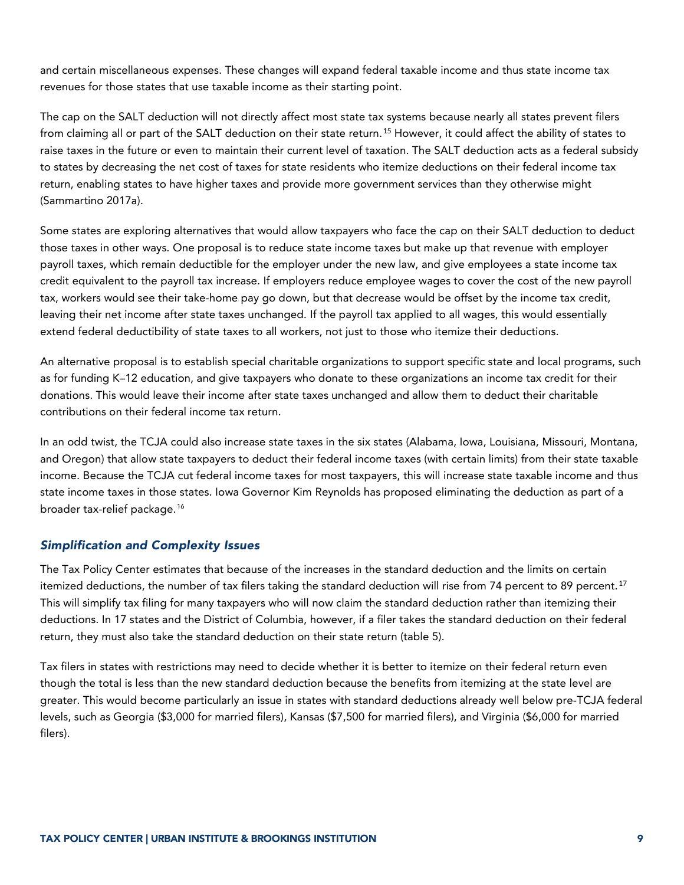and certain miscellaneous expenses. These changes will expand federal taxable income and thus state income tax revenues for those states that use taxable income as their starting point.

The cap on the SALT deduction will not directly affect most state tax systems because nearly all states prevent filers from claiming all or part of the SALT deduction on their state return.<sup>[15](#page-12-14)</sup> However, it could affect the ability of states to raise taxes in the future or even to maintain their current level of taxation. The SALT deduction acts as a federal subsidy to states by decreasing the net cost of taxes for state residents who itemize deductions on their federal income tax return, enabling states to have higher taxes and provide more government services than they otherwise might (Sammartino 2017a).

Some states are exploring alternatives that would allow taxpayers who face the cap on their SALT deduction to deduct those taxes in other ways. One proposal is to reduce state income taxes but make up that revenue with employer payroll taxes, which remain deductible for the employer under the new law, and give employees a state income tax credit equivalent to the payroll tax increase. If employers reduce employee wages to cover the cost of the new payroll tax, workers would see their take-home pay go down, but that decrease would be offset by the income tax credit, leaving their net income after state taxes unchanged. If the payroll tax applied to all wages, this would essentially extend federal deductibility of state taxes to all workers, not just to those who itemize their deductions.

An alternative proposal is to establish special charitable organizations to support specific state and local programs, such as for funding K–12 education, and give taxpayers who donate to these organizations an income tax credit for their donations. This would leave their income after state taxes unchanged and allow them to deduct their charitable contributions on their federal income tax return.

In an odd twist, the TCJA could also increase state taxes in the six states (Alabama, Iowa, Louisiana, Missouri, Montana, and Oregon) that allow state taxpayers to deduct their federal income taxes (with certain limits) from their state taxable income. Because the TCJA cut federal income taxes for most taxpayers, this will increase state taxable income and thus state income taxes in those states. Iowa Governor Kim Reynolds has proposed eliminating the deduction as part of a broader tax-relief package.[16](#page-12-15)

### *Simplification and Complexity Issues*

The Tax Policy Center estimates that because of the increases in the standard deduction and the limits on certain itemized deductions, the number of tax filers taking the standard deduction will rise from 74 percent to 89 percent.<sup>[17](#page-12-16)</sup> This will simplify tax filing for many taxpayers who will now claim the standard deduction rather than itemizing their deductions. In 17 states and the District of Columbia, however, if a filer takes the standard deduction on their federal return, they must also take the standard deduction on their state return (table 5).

Tax filers in states with restrictions may need to decide whether it is better to itemize on their federal return even though the total is less than the new standard deduction because the benefits from itemizing at the state level are greater. This would become particularly an issue in states with standard deductions already well below pre-TCJA federal levels, such as Georgia (\$3,000 for married filers), Kansas (\$7,500 for married filers), and Virginia (\$6,000 for married filers).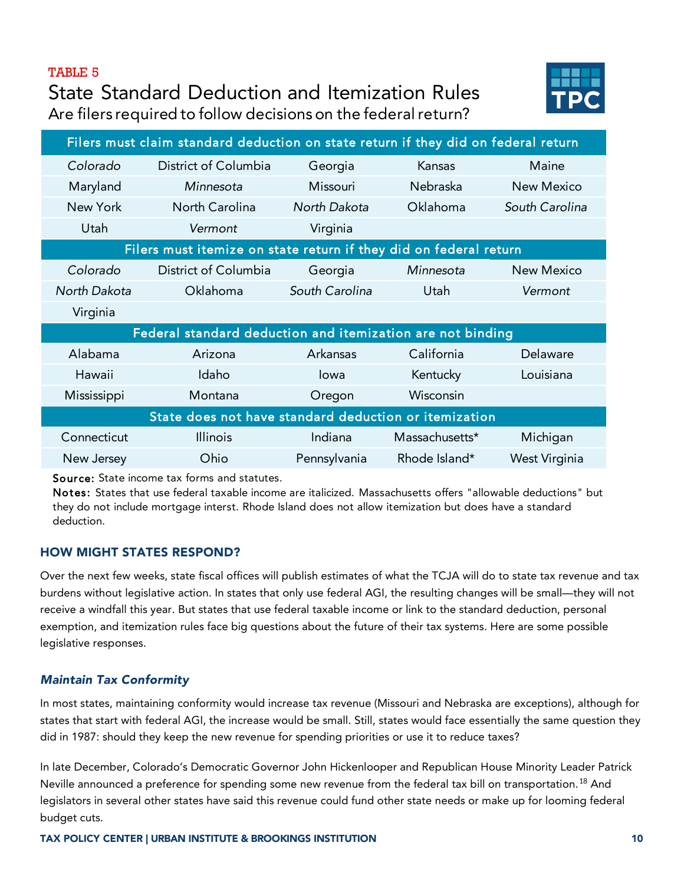#### TABLE 5

# State Standard Deduction and Itemization Rules Are filers required to follow decisions on the federal return?



| Filers must claim standard deduction on state return if they did on federal return |                 |                |                                                                   |  |  |
|------------------------------------------------------------------------------------|-----------------|----------------|-------------------------------------------------------------------|--|--|
| District of Columbia                                                               | Georgia         | Kansas         | Maine                                                             |  |  |
| Minnesota                                                                          | <b>Missouri</b> | Nebraska       | <b>New Mexico</b>                                                 |  |  |
| North Carolina                                                                     | North Dakota    | Oklahoma       | South Carolina                                                    |  |  |
| Vermont                                                                            | Virginia        |                |                                                                   |  |  |
|                                                                                    |                 |                |                                                                   |  |  |
| District of Columbia                                                               | Georgia         | Minnesota      | New Mexico                                                        |  |  |
| Oklahoma                                                                           | South Carolina  | Utah           | Vermont                                                           |  |  |
|                                                                                    |                 |                |                                                                   |  |  |
| Federal standard deduction and itemization are not binding                         |                 |                |                                                                   |  |  |
| Arizona                                                                            | Arkansas        | California     | Delaware                                                          |  |  |
| Idaho                                                                              | Iowa            | Kentucky       | Louisiana                                                         |  |  |
| Montana                                                                            | Oregon          | Wisconsin      |                                                                   |  |  |
| State does not have standard deduction or itemization                              |                 |                |                                                                   |  |  |
| <b>Illinois</b>                                                                    | Indiana         | Massachusetts* | Michigan                                                          |  |  |
| Ohio                                                                               | Pennsylvania    | Rhode Island*  | West Virginia                                                     |  |  |
|                                                                                    |                 |                | Filers must itemize on state return if they did on federal return |  |  |

Source: State income tax forms and statutes.

Notes: States that use federal taxable income are italicized. Massachusetts offers "allowable deductions" but they do not include mortgage interst. Rhode Island does not allow itemization but does have a standard deduction.

### HOW MIGHT STATES RESPOND?

Over the next few weeks, state fiscal offices will publish estimates of what the TCJA will do to state tax revenue and tax burdens without legislative action. In states that only use federal AGI, the resulting changes will be small—they will not receive a windfall this year. But states that use federal taxable income or link to the standard deduction, personal exemption, and itemization rules face big questions about the future of their tax systems. Here are some possible legislative responses.

### *Maintain Tax Conformity*

In most states, maintaining conformity would increase tax revenue (Missouri and Nebraska are exceptions), although for states that start with federal AGI, the increase would be small. Still, states would face essentially the same question they did in 1987: should they keep the new revenue for spending priorities or use it to reduce taxes?

In late December, Colorado's Democratic Governor John Hickenlooper and Republican House Minority Leader Patrick Neville announced a preference for spending some new revenue from the federal tax bill on transportation.<sup>[18](#page-12-17)</sup> And legislators in several other states have said this revenue could fund other state needs or make up for looming federal budget cuts.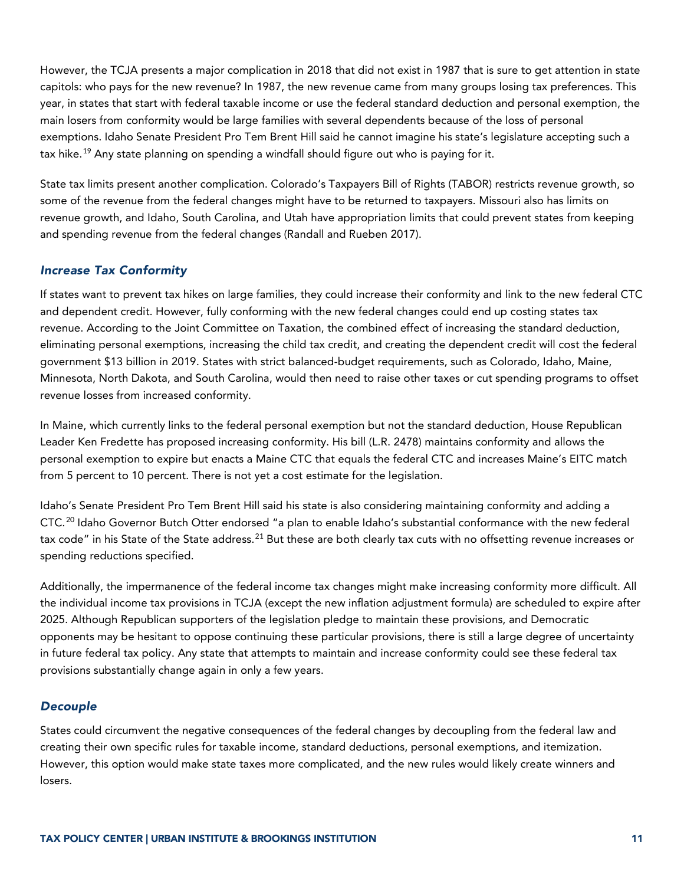However, the TCJA presents a major complication in 2018 that did not exist in 1987 that is sure to get attention in state capitols: who pays for the new revenue? In 1987, the new revenue came from many groups losing tax preferences. This year, in states that start with federal taxable income or use the federal standard deduction and personal exemption, the main losers from conformity would be large families with several dependents because of the loss of personal exemptions. Idaho Senate President Pro Tem Brent Hill said he cannot imagine his state's legislature accepting such a tax hike.<sup>[19](#page-12-18)</sup> Any state planning on spending a windfall should figure out who is paying for it.

State tax limits present another complication. Colorado's Taxpayers Bill of Rights (TABOR) restricts revenue growth, so some of the revenue from the federal changes might have to be returned to taxpayers. Missouri also has limits on revenue growth, and Idaho, South Carolina, and Utah have appropriation limits that could prevent states from keeping and spending revenue from the federal changes (Randall and Rueben 2017).

### *Increase Tax Conformity*

If states want to prevent tax hikes on large families, they could increase their conformity and link to the new federal CTC and dependent credit. However, fully conforming with the new federal changes could end up costing states tax revenue. According to the Joint Committee on Taxation, the combined effect of increasing the standard deduction, eliminating personal exemptions, increasing the child tax credit, and creating the dependent credit will cost the federal government \$13 billion in 2019. States with strict balanced-budget requirements, such as Colorado, Idaho, Maine, Minnesota, North Dakota, and South Carolina, would then need to raise other taxes or cut spending programs to offset revenue losses from increased conformity.

In Maine, which currently links to the federal personal exemption but not the standard deduction, House Republican Leader Ken Fredette has proposed increasing conformity. His bill (L.R. 2478) maintains conformity and allows the personal exemption to expire but enacts a Maine CTC that equals the federal CTC and increases Maine's EITC match from 5 percent to 10 percent. There is not yet a cost estimate for the legislation.

Idaho's Senate President Pro Tem Brent Hill said his state is also considering maintaining conformity and adding a CTC.<sup>[20](#page-12-19)</sup> Idaho Governor Butch Otter endorsed "a plan to enable Idaho's substantial conformance with the new federal tax code" in his State of the State address.<sup>[21](#page-12-20)</sup> But these are both clearly tax cuts with no offsetting revenue increases or spending reductions specified.

Additionally, the impermanence of the federal income tax changes might make increasing conformity more difficult. All the individual income tax provisions in TCJA (except the new inflation adjustment formula) are scheduled to expire after 2025. Although Republican supporters of the legislation pledge to maintain these provisions, and Democratic opponents may be hesitant to oppose continuing these particular provisions, there is still a large degree of uncertainty in future federal tax policy. Any state that attempts to maintain and increase conformity could see these federal tax provisions substantially change again in only a few years.

### *Decouple*

States could circumvent the negative consequences of the federal changes by decoupling from the federal law and creating their own specific rules for taxable income, standard deductions, personal exemptions, and itemization. However, this option would make state taxes more complicated, and the new rules would likely create winners and losers.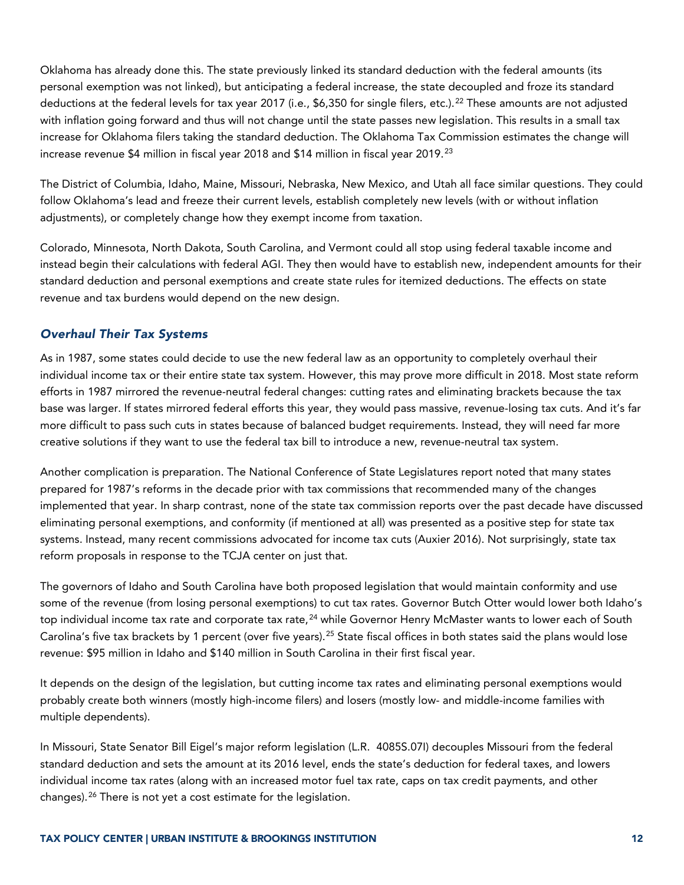Oklahoma has already done this. The state previously linked its standard deduction with the federal amounts (its personal exemption was not linked), but anticipating a federal increase, the state decoupled and froze its standard deductions at the federal levels for tax year 2017 (i.e., \$6,350 for single filers, etc.).<sup>[22](#page-12-21)</sup> These amounts are not adjusted with inflation going forward and thus will not change until the state passes new legislation. This results in a small tax increase for Oklahoma filers taking the standard deduction. The Oklahoma Tax Commission estimates the change will increase revenue \$4 million in fiscal year 2018 and \$14 million in fiscal year 2019.<sup>[23](#page-12-22)</sup>

The District of Columbia, Idaho, Maine, Missouri, Nebraska, New Mexico, and Utah all face similar questions. They could follow Oklahoma's lead and freeze their current levels, establish completely new levels (with or without inflation adjustments), or completely change how they exempt income from taxation.

Colorado, Minnesota, North Dakota, South Carolina, and Vermont could all stop using federal taxable income and instead begin their calculations with federal AGI. They then would have to establish new, independent amounts for their standard deduction and personal exemptions and create state rules for itemized deductions. The effects on state revenue and tax burdens would depend on the new design.

### *Overhaul Their Tax Systems*

As in 1987, some states could decide to use the new federal law as an opportunity to completely overhaul their individual income tax or their entire state tax system. However, this may prove more difficult in 2018. Most state reform efforts in 1987 mirrored the revenue-neutral federal changes: cutting rates and eliminating brackets because the tax base was larger. If states mirrored federal efforts this year, they would pass massive, revenue-losing tax cuts. And it's far more difficult to pass such cuts in states because of balanced budget requirements. Instead, they will need far more creative solutions if they want to use the federal tax bill to introduce a new, revenue-neutral tax system.

Another complication is preparation. The National Conference of State Legislatures report noted that many states prepared for 1987's reforms in the decade prior with tax commissions that recommended many of the changes implemented that year. In sharp contrast, none of the state tax commission reports over the past decade have discussed eliminating personal exemptions, and conformity (if mentioned at all) was presented as a positive step for state tax systems. Instead, many recent commissions advocated for income tax cuts (Auxier 2016). Not surprisingly, state tax reform proposals in response to the TCJA center on just that.

The governors of Idaho and South Carolina have both proposed legislation that would maintain conformity and use some of the revenue (from losing personal exemptions) to cut tax rates. Governor Butch Otter would lower both Idaho's top individual income tax rate and corporate tax rate,<sup>[24](#page-12-23)</sup> while Governor Henry McMaster wants to lower each of South Carolina's five tax brackets by 1 percent (over five years).<sup>[25](#page-12-24)</sup> State fiscal offices in both states said the plans would lose revenue: \$95 million in Idaho and \$140 million in South Carolina in their first fiscal year.

It depends on the design of the legislation, but cutting income tax rates and eliminating personal exemptions would probably create both winners (mostly high-income filers) and losers (mostly low- and middle-income families with multiple dependents).

In Missouri, State Senator Bill Eigel's major reform legislation (L.R. 4085S.07I) decouples Missouri from the federal standard deduction and sets the amount at its 2016 level, ends the state's deduction for federal taxes, and lowers individual income tax rates (along with an increased motor fuel tax rate, caps on tax credit payments, and other changes).[26](#page-12-25) There is not yet a cost estimate for the legislation.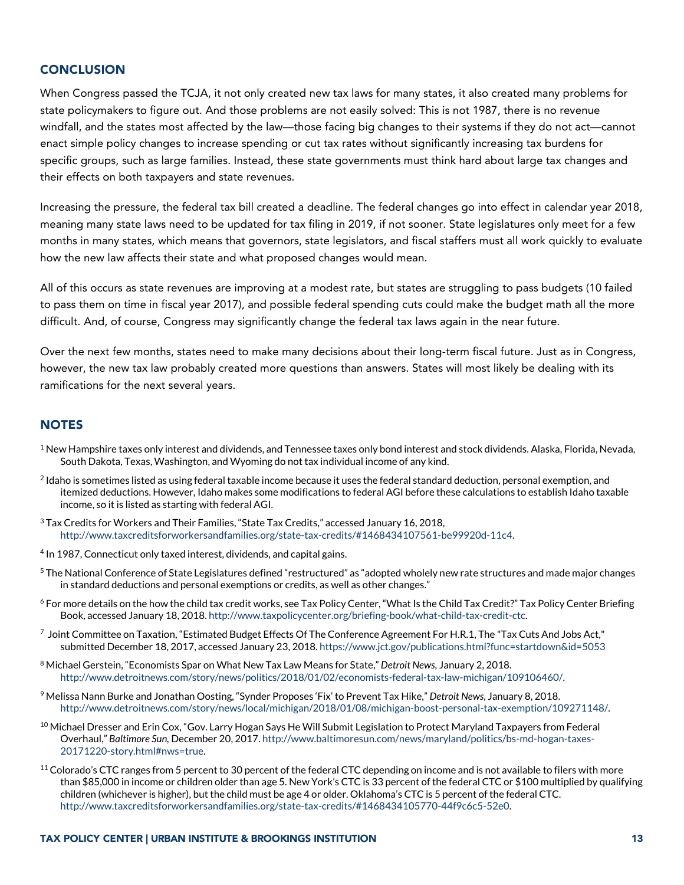#### <span id="page-12-12"></span><span id="page-12-11"></span>**CONCLUSION**

<span id="page-12-14"></span><span id="page-12-13"></span>When Congress passed the TCJA, it not only created new tax laws for many states, it also created many problems for state policymakers to figure out. And those problems are not easily solved: This is not 1987, there is no revenue windfall, and the states most affected by the law—those facing big changes to their systems if they do not act—cannot enact simple policy changes to increase spending or cut tax rates without significantly increasing tax burdens for specific groups, such as large families. Instead, these state governments must think hard about large tax changes and their effects on both taxpayers and state revenues.

<span id="page-12-17"></span><span id="page-12-16"></span><span id="page-12-15"></span>Increasing the pressure, the federal tax bill created a deadline. The federal changes go into effect in calendar year 2018, meaning many state laws need to be updated for tax filing in 2019, if not sooner. State legislatures only meet for a few months in many states, which means that governors, state legislators, and fiscal staffers must all work quickly to evaluate how the new law affects their state and what proposed changes would mean.

<span id="page-12-20"></span><span id="page-12-19"></span><span id="page-12-18"></span>All of this occurs as state revenues are improving at a modest rate, but states are struggling to pass budgets (10 failed to pass them on time in fiscal year 2017), and possible federal spending cuts could make the budget math all the more difficult. And, of course, Congress may significantly change the federal tax laws again in the near future.

<span id="page-12-22"></span><span id="page-12-21"></span>Over the next few months, states need to make many decisions about their long-term fiscal future. Just as in Congress, however, the new tax law probably created more questions than answers. States will most likely be dealing with its ramifications for the next several years.

#### <span id="page-12-24"></span><span id="page-12-23"></span>**NOTES**

- <span id="page-12-0"></span> $1$  New Hampshire taxes only interest and dividends, and Tennessee taxes only bond interest and stock dividends. Alaska, Florida, Nevada, South Dakota, Texas, Washington, and Wyoming do not tax individual income of any kind.
- <span id="page-12-25"></span><span id="page-12-1"></span><sup>2</sup> Idaho is sometimes listed as using federal taxable income because it uses the federal standard deduction, personal exemption, and itemized deductions. However, Idaho makes some modifications to federal AGI before these calculations to establish Idaho taxable income, so it is listed as starting with federal AGI.
- <span id="page-12-2"></span><sup>3</sup> Tax Credits for Workers and Their Families, "State Tax Credits," accessed January 16, 2018, [http://www.taxcreditsforworkersandfamilies.org/state-tax-credits/#1468434107561-be99920d-11c4.](http://www.taxcreditsforworkersandfamilies.org/state-tax-credits/#1468434107561-be99920d-11c4)
- <span id="page-12-3"></span><sup>4</sup> In 1987, Connecticut only taxed interest, dividends, and capital gains.
- <span id="page-12-4"></span><sup>5</sup> The National Conference of State Legislatures defined "restructured" as "adopted wholely new rate structures and made major changes in standard deductions and personal exemptions or credits, as well as other changes."
- <span id="page-12-5"></span><sup>6</sup> For more details on the how the child tax credit works, see Tax Policy Center, "What Is the Child Tax Credit?" Tax Policy Center Briefing Book, accessed January 18, 2018[. http://www.taxpolicycenter.org/briefing-book/what-child-tax-credit-ctc.](http://www.taxpolicycenter.org/briefing-book/what-child-tax-credit-ctc)
- <span id="page-12-6"></span> $^7$  Joint Committee on Taxation, "Estimated Budget Effects Of The Conference Agreement For H.R.1, The "Tax Cuts And Jobs Act," submitted December 18, 2017, accessed January 23, 2018[. https://www.jct.gov/publications.html?func=startdown&id=5053](https://www.jct.gov/publications.html?func=startdown&id=5053)
- <span id="page-12-7"></span><sup>8</sup> Michael Gerstein, "Economists Spar on What New Tax Law Means for State," *Detroit News*, January 2, 2018. [http://www.detroitnews.com/story/news/politics/2018/01/02/economists-federal-tax-law-michigan/109106460/.](http://www.detroitnews.com/story/news/politics/2018/01/02/economists-federal-tax-law-michigan/109106460/)
- <span id="page-12-8"></span><sup>9</sup> Melissa Nann Burke and Jonathan Oosting, "Synder Proposes 'Fix' to Prevent Tax Hike," *Detroit News*, January 8, 2018. [http://www.detroitnews.com/story/news/local/michigan/2018/01/08/michigan-boost-personal-tax-exemption/109271148/.](http://www.detroitnews.com/story/news/local/michigan/2018/01/08/michigan-boost-personal-tax-exemption/109271148/)
- <span id="page-12-9"></span> $^{10}$  Michael Dresser and Erin Cox, "Gov. Larry Hogan Says He Will Submit Legislation to Protect Maryland Taxpayers from Federal Overhaul," *Baltimore Sun,* December 20, 2017[. http://www.baltimoresun.com/news/maryland/politics/bs-md-hogan-taxes-](http://www.baltimoresun.com/news/maryland/politics/bs-md-hogan-taxes-20171220-story.html#nws=true)[20171220-story.html#nws=true.](http://www.baltimoresun.com/news/maryland/politics/bs-md-hogan-taxes-20171220-story.html#nws=true)
- <span id="page-12-10"></span> $11$  Colorado's CTC ranges from 5 percent to 30 percent of the federal CTC depending on income and is not available to filers with more than \$85,000 in income or children older than age 5. New York's CTC is 33 percent of the federal CTC or \$100 multiplied by qualifying children (whichever is higher), but the child must be age 4 or older. Oklahoma's CTC is 5 percent of the federal CTC. [http://www.taxcreditsforworkersandfamilies.org/state-tax-credits/#1468434105770-44f9c6c5-52e0.](http://www.taxcreditsforworkersandfamilies.org/state-tax-credits/#1468434105770-44f9c6c5-52e0)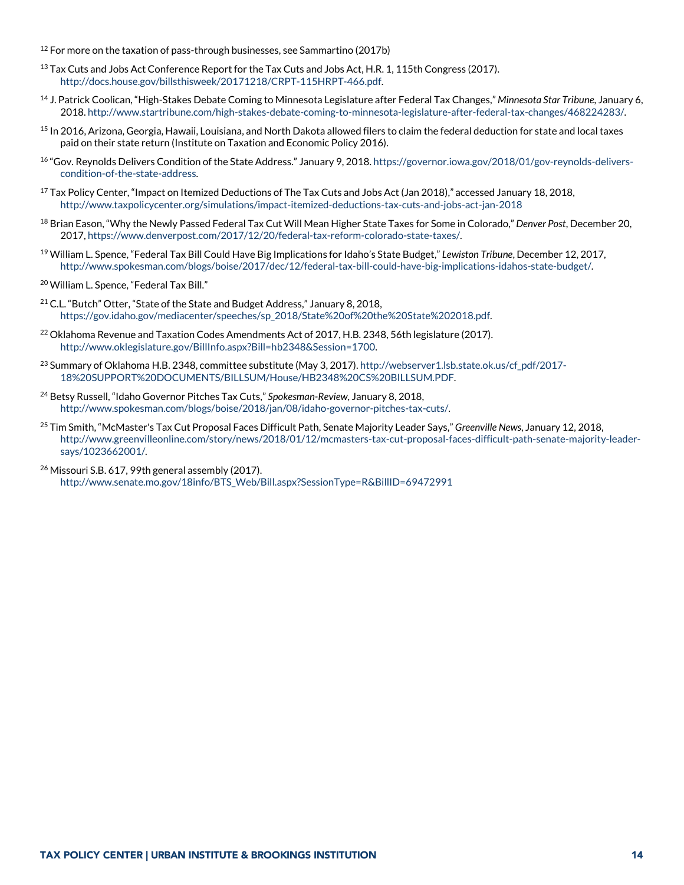$12$  For more on the taxation of pass-through businesses, see Sammartino (2017b)

- <sup>13</sup> Tax Cuts and Jobs Act Conference Report for the Tax Cuts and Jobs Act, H.R. 1, 115th Congress (2017). [http://docs.house.gov/billsthisweek/20171218/CRPT-115HRPT-466.pdf.](http://docs.house.gov/billsthisweek/20171218/CRPT-115HRPT-466.pdf)
- <sup>14</sup> J. Patrick Coolican, "High-Stakes Debate Coming to Minnesota Legislature after Federal Tax Changes," *Minnesota Star Tribune*, January 6, 2018[. http://www.startribune.com/high-stakes-debate-coming-to-minnesota-legislature-after-federal-tax-changes/468224283/.](http://www.startribune.com/high-stakes-debate-coming-to-minnesota-legislature-after-federal-tax-changes/468224283/)
- <sup>15</sup> In 2016, Arizona, Georgia, Hawaii, Louisiana, and North Dakota allowed filers to claim the federal deduction for state and local taxes paid on their state return (Institute on Taxation and Economic Policy 2016).
- <sup>16</sup> "Gov. Reynolds Delivers Condition of the State Address." January 9, 2018. https://governor.jowa.gov/2018/01/gov-reynolds-delivers[condition-of-the-state-address.](https://governor.iowa.gov/2018/01/gov-reynolds-delivers-condition-of-the-state-address)
- <sup>17</sup> Tax Policy Center, "Impact on Itemized Deductions of The Tax Cuts and Jobs Act (Jan 2018)," accessed January 18, 2018, <http://www.taxpolicycenter.org/simulations/impact-itemized-deductions-tax-cuts-and-jobs-act-jan-2018>
- <sup>18</sup> Brian Eason, "Why the Newly Passed Federal Tax Cut Will Mean Higher State Taxes for Some in Colorado," *Denver Post*, December 20, 2017[, https://www.denverpost.com/2017/12/20/federal-tax-reform-colorado-state-taxes/.](https://www.denverpost.com/2017/12/20/federal-tax-reform-colorado-state-taxes/)
- <sup>19</sup> William L. Spence, "Federal Tax Bill Could Have Big Implications for Idaho's State Budget," *Lewiston Tribune*, December 12, 2017, [http://www.spokesman.com/blogs/boise/2017/dec/12/federal-tax-bill-could-have-big-implications-idahos-state-budget/.](http://www.spokesman.com/blogs/boise/2017/dec/12/federal-tax-bill-could-have-big-implications-idahos-state-budget/)
- <sup>20</sup> William L. Spence, "Federal Tax Bill."
- <sup>21</sup> C.L. "Butch" Otter, "State of the State and Budget Address," January 8, 2018, [https://gov.idaho.gov/mediacenter/speeches/sp\\_2018/State%20of%20the%20State%202018.pdf.](https://gov.idaho.gov/mediacenter/speeches/sp_2018/State%20of%20the%20State%202018.pdf)
- <sup>22</sup> Oklahoma Revenue and Taxation Codes Amendments Act of 2017, H.B. 2348, 56th legislature (2017). [http://www.oklegislature.gov/BillInfo.aspx?Bill=hb2348&Session=1700.](http://www.oklegislature.gov/BillInfo.aspx?Bill=hb2348&Session=1700)
- <sup>23</sup> Summary of Oklahoma H.B. 2348, committee substitute (May 3, 2017)[. http://webserver1.lsb.state.ok.us/cf\\_pdf/2017-](http://webserver1.lsb.state.ok.us/cf_pdf/2017-18%20SUPPORT%20DOCUMENTS/BILLSUM/House/HB2348%20CS%20BILLSUM.PDF) [18%20SUPPORT%20DOCUMENTS/BILLSUM/House/HB2348%20CS%20BILLSUM.PDF.](http://webserver1.lsb.state.ok.us/cf_pdf/2017-18%20SUPPORT%20DOCUMENTS/BILLSUM/House/HB2348%20CS%20BILLSUM.PDF)
- <sup>24</sup> Betsy Russell, "Idaho Governor Pitches Tax Cuts," *Spokesman-Review,* January 8, 2018, [http://www.spokesman.com/blogs/boise/2018/jan/08/idaho-governor-pitches-tax-cuts/.](http://www.spokesman.com/blogs/boise/2018/jan/08/idaho-governor-pitches-tax-cuts/)
- <sup>25</sup> Tim Smith, "McMaster's Tax Cut Proposal Faces Difficult Path, Senate Majority Leader Says," *Greenville News*, January 12, 2018, [http://www.greenvilleonline.com/story/news/2018/01/12/mcmasters-tax-cut-proposal-faces-difficult-path-senate-majority-leader](http://www.greenvilleonline.com/story/news/2018/01/12/mcmasters-tax-cut-proposal-faces-difficult-path-senate-majority-leader-says/1023662001/)[says/1023662001/.](http://www.greenvilleonline.com/story/news/2018/01/12/mcmasters-tax-cut-proposal-faces-difficult-path-senate-majority-leader-says/1023662001/)
- <sup>26</sup> Missouri S.B. 617, 99th general assembly (2017). [http://www.senate.mo.gov/18info/BTS\\_Web/Bill.aspx?SessionType=R&BillID=69472991](http://www.senate.mo.gov/18info/BTS_Web/Bill.aspx?SessionType=R&BillID=69472991)